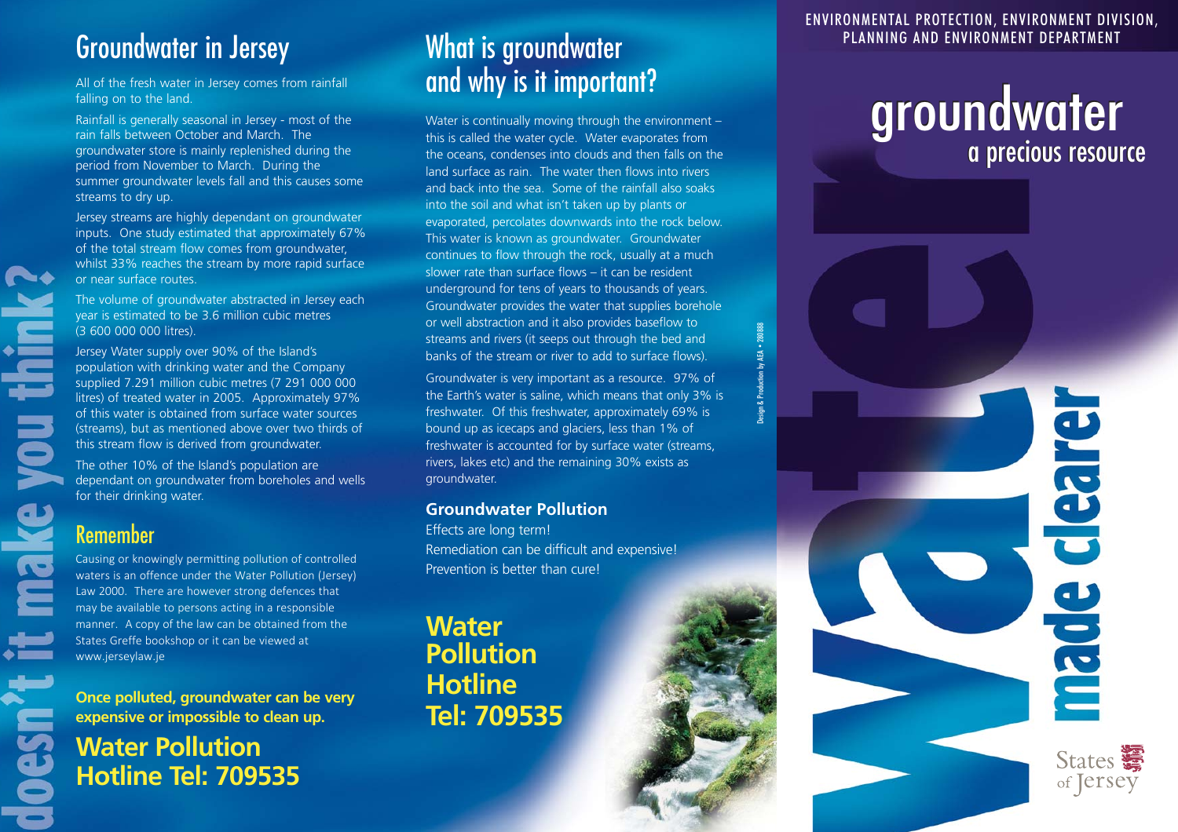## Groundwater in Jersey

All of the fresh water in Jersey comes from rainfall

Rainfall is generally seasonal in Jersey - most of the Water is continually moving through the environment –<br>
rain falls between October and March. The this is called the water orde. Water evaporates from rain falls between October and March. The this is called the water cycle. Water evaporates from<br>the oceans condenses into clouds and then falls on the model on the condenses into clouds and then falls on t

Jersey Water supply over 90% of the Island's banks of the stream or river to add to surface flows).<br>population with drinking water and the Company litres) of treated water in 2005. Approximately 97% the Earth's water is saline, which means that only 3% is<br>of this water is obtained from surface water sources freshwater. Of this freshwater, approximately 69% is of this water is obtained from surface water sources. (streams), but as mentioned above over two thirds of bound up as icecaps and glaciers, less than 1% of

dependant on groundwater from boreholes and wells for their drinking water. **Groundwater Pollution** 

### Remember

Causing or knowingly permitting pollution of controlled waters is an offence under the Water Pollution (Jersey) Law 2000. There are however strong defences that may be available to persons acting in a responsible manner. A copy of the law can be obtained from the States Greffe bookshop or it can be viewed at States Grette bookshop or it can be viewed at **Pollution** 

**Once polluted, groundwater can be very Folline**<br> **Once polluted, groundwater can be very Fel: 709535** expensive or impossible to clean up.

**Water Pollution Hotline Tel: 709535** 

## What is groundwater All of the fresh water in Jersey comes from rainfall **and why is it important?**  $\frac{1}{2}$

groundwater store is mainly replenished during the the oceans, condenses into clouds and then falls on the period from November to March. During the land surface as rain. The water then flows into rivers summer groundwater summer groundwater levels fall and this causes some and back into the sea. Some of the rainfall also soaks streams to dry up.<br>into the soil and what isn't taken up by plants or<br>Jersey streams are highly dependant on ground University streams are highly dependant on groundwater and the exporated, percolates downwards into the rock below.<br>
Suppose the total stream flow comes from groundwater, and this water is known as groundwater. Groundwater underground for tens of years to thousands of years.<br>The volume of groundwater abstracted in Jersey each<br>year is estimated to be 3.6 million cubic metres<br>(3 600 000 000 litres).<br>Solid in the set of the set of well abstract

population with drinking with drinking water and the Company Groundwater is very important as a resource. 97% of supplied 7.291 million cubic metres (7 291 000 000<br>Supplied 7.291 million cubic metres (7 291 000 000 the Ear this stream flow is derived from groundwater. freshwater is accounted for by surface water (streams, The other 10% of the Island's population are rivers, lakes etc) and the remaining 30% exists as<br>dependant on groundwater from boreholes and wells aroundwater.

Effects are long term! Remediation can be difficult and expensive! Prevention is better than cure!

**Water** 

ENVIRONMENTAL PROTECTION, ENVIRONMENT DIVISION, PLANNING AND ENVIRONMENT DEPARTMENT

# groundwater<br>a precious resource

Design & Production by AEA • 280888